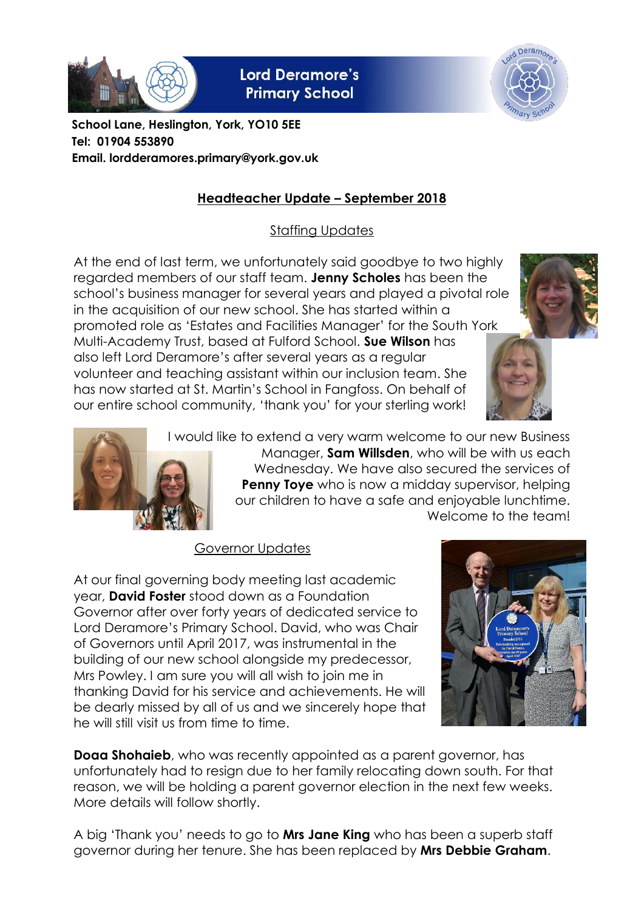

**Lord Deramore's Primary School** 



**School Lane, Heslington, York, YO10 5EE Tel: 01904 553890 Email. lordderamores.primary@york.gov.uk**

# **Headteacher Update – September 2018**

Staffing Updates

At the end of last term, we unfortunately said goodbye to two highly regarded members of our staff team. **Jenny Scholes** has been the school's business manager for several years and played a pivotal role in the acquisition of our new school. She has started within a promoted role as 'Estates and Facilities Manager' for the South York Multi-Academy Trust, based at Fulford School. **Sue Wilson** has also left Lord Deramore's after several years as a regular volunteer and teaching assistant within our inclusion team. She has now started at St. Martin's School in Fangfoss. On behalf of our entire school community, 'thank you' for your sterling work!







I would like to extend a very warm welcome to our new Business Manager, **Sam Willsden**, who will be with us each Wednesday. We have also secured the services of **Penny Toye** who is now a midday supervisor, helping our children to have a safe and enjoyable lunchtime. Welcome to the team!

## Governor Updates

At our final governing body meeting last academic year, **David Foster** stood down as a Foundation Governor after over forty years of dedicated service to Lord Deramore's Primary School. David, who was Chair of Governors until April 2017, was instrumental in the building of our new school alongside my predecessor, Mrs Powley. I am sure you will all wish to join me in thanking David for his service and achievements. He will be dearly missed by all of us and we sincerely hope that he will still visit us from time to time.



**Doaa Shohaieb**, who was recently appointed as a parent governor, has unfortunately had to resign due to her family relocating down south. For that reason, we will be holding a parent governor election in the next few weeks. More details will follow shortly.

A big 'Thank you' needs to go to **Mrs Jane King** who has been a superb staff governor during her tenure. She has been replaced by **Mrs Debbie Graham**.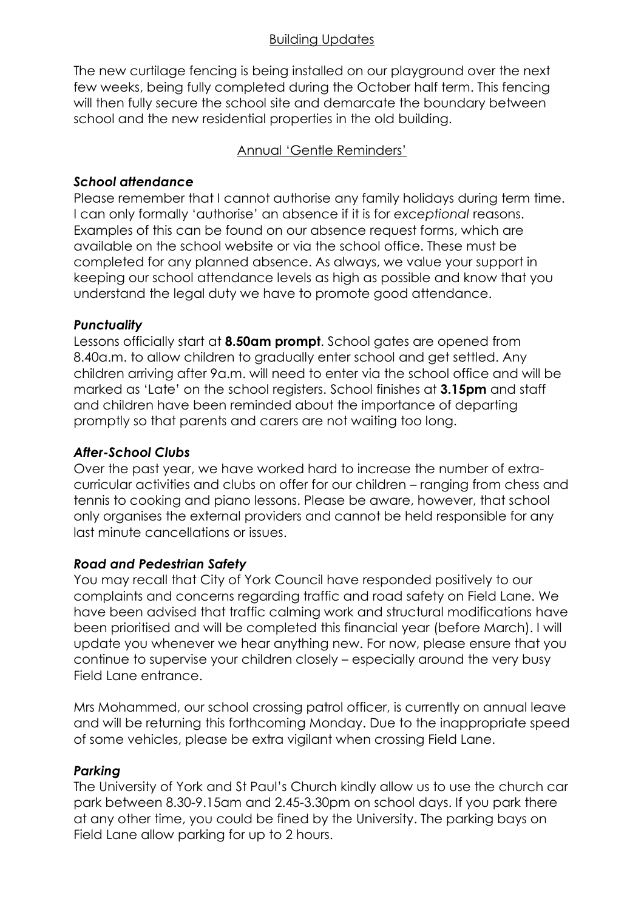#### Building Updates

The new curtilage fencing is being installed on our playground over the next few weeks, being fully completed during the October half term. This fencing will then fully secure the school site and demarcate the boundary between school and the new residential properties in the old building.

### Annual 'Gentle Reminders'

### *School attendance*

Please remember that I cannot authorise any family holidays during term time. I can only formally 'authorise' an absence if it is for *exceptional* reasons. Examples of this can be found on our absence request forms, which are available on the school website or via the school office. These must be completed for any planned absence. As always, we value your support in keeping our school attendance levels as high as possible and know that you understand the legal duty we have to promote good attendance.

## *Punctuality*

Lessons officially start at **8.50am prompt**. School gates are opened from 8.40a.m. to allow children to gradually enter school and get settled. Any children arriving after 9a.m. will need to enter via the school office and will be marked as 'Late' on the school registers. School finishes at **3.15pm** and staff and children have been reminded about the importance of departing promptly so that parents and carers are not waiting too long.

## *After-School Clubs*

Over the past year, we have worked hard to increase the number of extracurricular activities and clubs on offer for our children – ranging from chess and tennis to cooking and piano lessons. Please be aware, however, that school only organises the external providers and cannot be held responsible for any last minute cancellations or issues.

#### *Road and Pedestrian Safety*

You may recall that City of York Council have responded positively to our complaints and concerns regarding traffic and road safety on Field Lane. We have been advised that traffic calming work and structural modifications have been prioritised and will be completed this financial year (before March). I will update you whenever we hear anything new. For now, please ensure that you continue to supervise your children closely – especially around the very busy Field Lane entrance.

Mrs Mohammed, our school crossing patrol officer, is currently on annual leave and will be returning this forthcoming Monday. Due to the inappropriate speed of some vehicles, please be extra vigilant when crossing Field Lane.

#### *Parking*

The University of York and St Paul's Church kindly allow us to use the church car park between 8.30-9.15am and 2.45-3.30pm on school days. If you park there at any other time, you could be fined by the University. The parking bays on Field Lane allow parking for up to 2 hours.